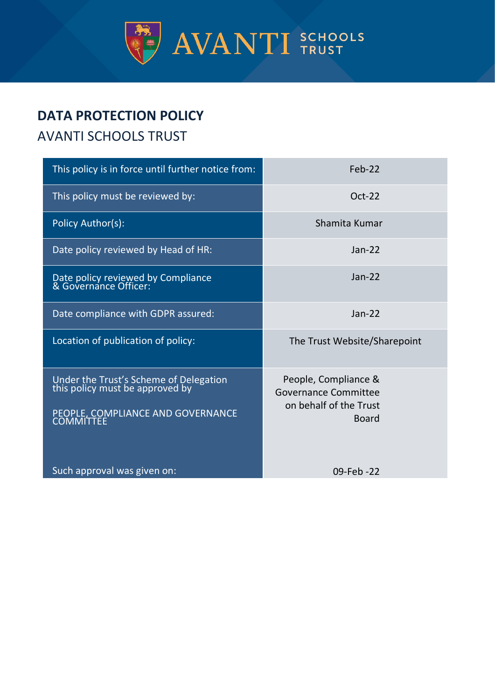

# **DATA PROTECTION POLICY**

# AVANTI SCHOOLS TRUST

| This policy is in force until further notice from:                                                             | Feb-22                                                                          |
|----------------------------------------------------------------------------------------------------------------|---------------------------------------------------------------------------------|
| This policy must be reviewed by:                                                                               | $Oct-22$                                                                        |
| Policy Author(s):                                                                                              | Shamita Kumar                                                                   |
| Date policy reviewed by Head of HR:                                                                            | $Jan-22$                                                                        |
| Date policy reviewed by Compliance<br>& Governance Officer:                                                    | $Jan-22$                                                                        |
| Date compliance with GDPR assured:                                                                             | $Jan-22$                                                                        |
| Location of publication of policy:                                                                             | The Trust Website/Sharepoint                                                    |
| Under the Trust's Scheme of Delegation<br>this policy must be approved by<br>PEOPLE, COMPLIANCE AND GOVERNANCE | People, Compliance &<br>Governance Committee<br>on behalf of the Trust<br>Board |
| Such approval was given on:                                                                                    | 09-Feb-22                                                                       |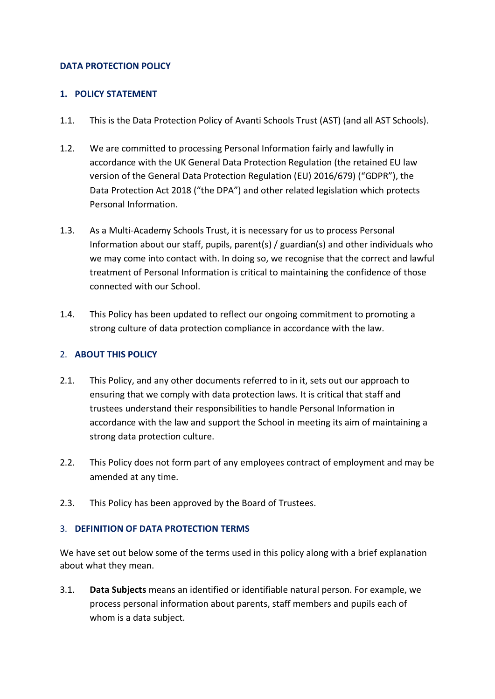#### **DATA PROTECTION POLICY**

#### **1. POLICY STATEMENT**

- 1.1. This is the Data Protection Policy of Avanti Schools Trust (AST) (and all AST Schools).
- 1.2. We are committed to processing Personal Information fairly and lawfully in accordance with the UK General Data Protection Regulation (the retained EU law version of the General Data Protection Regulation (EU) 2016/679) ("GDPR"), the Data Protection Act 2018 ("the DPA") and other related legislation which protects Personal Information.
- 1.3. As a Multi-Academy Schools Trust, it is necessary for us to process Personal Information about our staff, pupils, parent(s) / guardian(s) and other individuals who we may come into contact with. In doing so, we recognise that the correct and lawful treatment of Personal Information is critical to maintaining the confidence of those connected with our School.
- 1.4. This Policy has been updated to reflect our ongoing commitment to promoting a strong culture of data protection compliance in accordance with the law.

# 2. **ABOUT THIS POLICY**

- 2.1. This Policy, and any other documents referred to in it, sets out our approach to ensuring that we comply with data protection laws. It is critical that staff and trustees understand their responsibilities to handle Personal Information in accordance with the law and support the School in meeting its aim of maintaining a strong data protection culture.
- 2.2. This Policy does not form part of any employees contract of employment and may be amended at any time.
- 2.3. This Policy has been approved by the Board of Trustees.

# 3. **DEFINITION OF DATA PROTECTION TERMS**

We have set out below some of the terms used in this policy along with a brief explanation about what they mean.

3.1. **Data Subjects** means an identified or identifiable natural person. For example, we process personal information about parents, staff members and pupils each of whom is a data subject.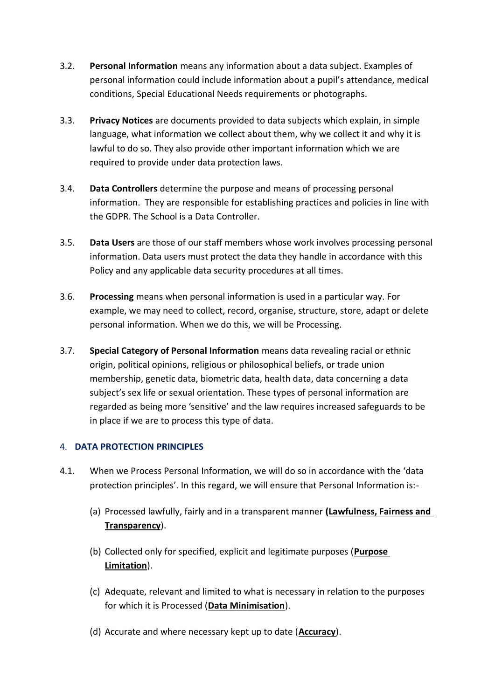- 3.2. **Personal Information** means any information about a data subject. Examples of personal information could include information about a pupil's attendance, medical conditions, Special Educational Needs requirements or photographs.
- 3.3. **Privacy Notices** are documents provided to data subjects which explain, in simple language, what information we collect about them, why we collect it and why it is lawful to do so. They also provide other important information which we are required to provide under data protection laws.
- 3.4. **Data Controllers** determine the purpose and means of processing personal information. They are responsible for establishing practices and policies in line with the GDPR. The School is a Data Controller.
- 3.5. **Data Users** are those of our staff members whose work involves processing personal information. Data users must protect the data they handle in accordance with this Policy and any applicable data security procedures at all times.
- 3.6. **Processing** means when personal information is used in a particular way. For example, we may need to collect, record, organise, structure, store, adapt or delete personal information. When we do this, we will be Processing.
- 3.7. **Special Category of Personal Information** means data revealing racial or ethnic origin, political opinions, religious or philosophical beliefs, or trade union membership, genetic data, biometric data, health data, data concerning a data subject's sex life or sexual orientation. These types of personal information are regarded as being more 'sensitive' and the law requires increased safeguards to be in place if we are to process this type of data.

# 4. **DATA PROTECTION PRINCIPLES**

- 4.1. When we Process Personal Information, we will do so in accordance with the 'data protection principles'. In this regard, we will ensure that Personal Information is:-
	- (a) Processed lawfully, fairly and in a transparent manner **(Lawfulness, Fairness and Transparency**).
	- (b) Collected only for specified, explicit and legitimate purposes (**Purpose Limitation**).
	- (c) Adequate, relevant and limited to what is necessary in relation to the purposes for which it is Processed (**Data Minimisation**).
	- (d) Accurate and where necessary kept up to date (**Accuracy**).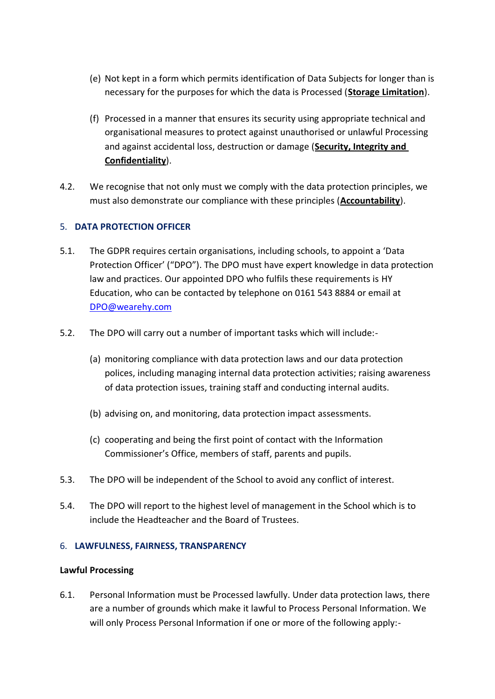- (e) Not kept in a form which permits identification of Data Subjects for longer than is necessary for the purposes for which the data is Processed (**Storage Limitation**).
- (f) Processed in a manner that ensures its security using appropriate technical and organisational measures to protect against unauthorised or unlawful Processing and against accidental loss, destruction or damage (**Security, Integrity and Confidentiality**).
- 4.2. We recognise that not only must we comply with the data protection principles, we must also demonstrate our compliance with these principles (**Accountability**).

# 5. **DATA PROTECTION OFFICER**

- 5.1. The GDPR requires certain organisations, including schools, to appoint a 'Data Protection Officer' ("DPO"). The DPO must have expert knowledge in data protection law and practices. Our appointed DPO who fulfils these requirements is HY Education, who can be contacted by telephone on 0161 543 8884 or email at [DPO@wearehy.com](mailto:DPO@wearehy.com)
- 5.2. The DPO will carry out a number of important tasks which will include:-
	- (a) monitoring compliance with data protection laws and our data protection polices, including managing internal data protection activities; raising awareness of data protection issues, training staff and conducting internal audits.
	- (b) advising on, and monitoring, data protection impact assessments.
	- (c) cooperating and being the first point of contact with the Information Commissioner's Office, members of staff, parents and pupils.
- 5.3. The DPO will be independent of the School to avoid any conflict of interest.
- 5.4. The DPO will report to the highest level of management in the School which is to include the Headteacher and the Board of Trustees.

# 6. **LAWFULNESS, FAIRNESS, TRANSPARENCY**

# **Lawful Processing**

<span id="page-3-0"></span>6.1. Personal Information must be Processed lawfully. Under data protection laws, there are a number of grounds which make it lawful to Process Personal Information. We will only Process Personal Information if one or more of the following apply:-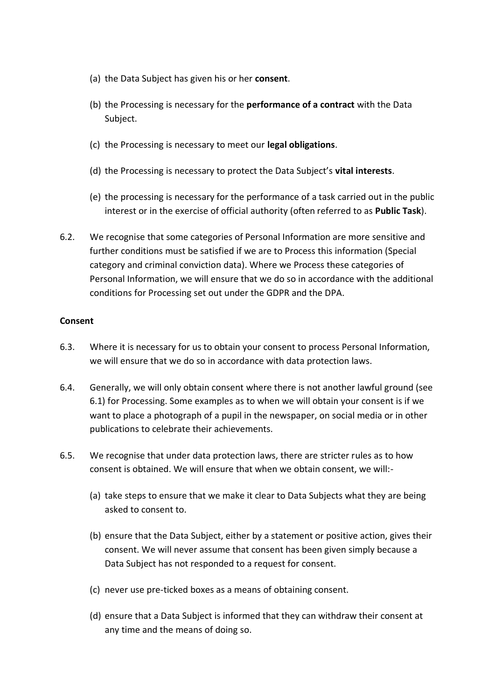- (a) the Data Subject has given his or her **consent**.
- (b) the Processing is necessary for the **performance of a contract** with the Data Subject.
- (c) the Processing is necessary to meet our **legal obligations**.
- (d) the Processing is necessary to protect the Data Subject's **vital interests**.
- (e) the processing is necessary for the performance of a task carried out in the public interest or in the exercise of official authority (often referred to as **Public Task**).
- 6.2. We recognise that some categories of Personal Information are more sensitive and further conditions must be satisfied if we are to Process this information (Special category and criminal conviction data). Where we Process these categories of Personal Information, we will ensure that we do so in accordance with the additional conditions for Processing set out under the GDPR and the DPA.

#### **Consent**

- 6.3. Where it is necessary for us to obtain your consent to process Personal Information, we will ensure that we do so in accordance with data protection laws.
- 6.4. Generally, we will only obtain consent where there is not another lawful ground (see [6.1\)](#page-3-0) for Processing. Some examples as to when we will obtain your consent is if we want to place a photograph of a pupil in the newspaper, on social media or in other publications to celebrate their achievements.
- 6.5. We recognise that under data protection laws, there are stricter rules as to how consent is obtained. We will ensure that when we obtain consent, we will:-
	- (a) take steps to ensure that we make it clear to Data Subjects what they are being asked to consent to.
	- (b) ensure that the Data Subject, either by a statement or positive action, gives their consent. We will never assume that consent has been given simply because a Data Subject has not responded to a request for consent.
	- (c) never use pre-ticked boxes as a means of obtaining consent.
	- (d) ensure that a Data Subject is informed that they can withdraw their consent at any time and the means of doing so.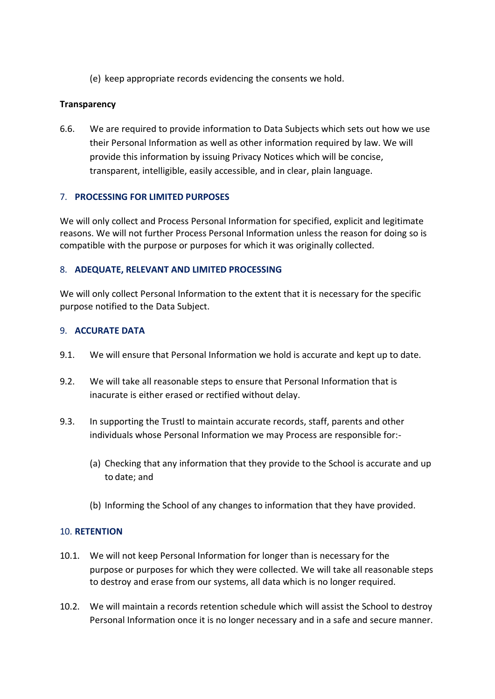(e) keep appropriate records evidencing the consents we hold.

# **Transparency**

6.6. We are required to provide information to Data Subjects which sets out how we use their Personal Information as well as other information required by law. We will provide this information by issuing Privacy Notices which will be concise, transparent, intelligible, easily accessible, and in clear, plain language.

#### 7. **PROCESSING FOR LIMITED PURPOSES**

We will only collect and Process Personal Information for specified, explicit and legitimate reasons. We will not further Process Personal Information unless the reason for doing so is compatible with the purpose or purposes for which it was originally collected.

#### 8. **ADEQUATE, RELEVANT AND LIMITED PROCESSING**

We will only collect Personal Information to the extent that it is necessary for the specific purpose notified to the Data Subject.

#### 9. **ACCURATE DATA**

- 9.1. We will ensure that Personal Information we hold is accurate and kept up to date.
- 9.2. We will take all reasonable steps to ensure that Personal Information that is inacurate is either erased or rectified without delay.
- 9.3. In supporting the Trustl to maintain accurate records, staff, parents and other individuals whose Personal Information we may Process are responsible for:-
	- (a) Checking that any information that they provide to the School is accurate and up to date; and
	- (b) Informing the School of any changes to information that they have provided.

# 10. **RETENTION**

- 10.1. We will not keep Personal Information for longer than is necessary for the purpose or purposes for which they were collected. We will take all reasonable steps to destroy and erase from our systems, all data which is no longer required.
- 10.2. We will maintain a records retention schedule which will assist the School to destroy Personal Information once it is no longer necessary and in a safe and secure manner.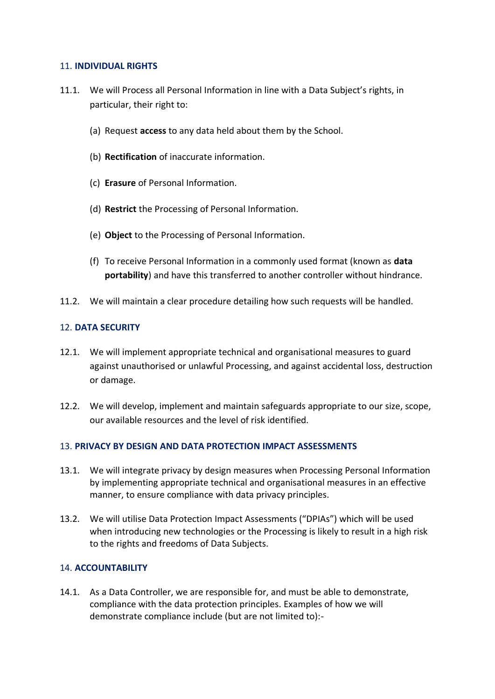#### 11. **INDIVIDUAL RIGHTS**

- 11.1. We will Process all Personal Information in line with a Data Subject's rights, in particular, their right to:
	- (a) Request **access** to any data held about them by the School.
	- (b) **Rectification** of inaccurate information.
	- (c) **Erasure** of Personal Information.
	- (d) **Restrict** the Processing of Personal Information.
	- (e) **Object** to the Processing of Personal Information.
	- (f) To receive Personal Information in a commonly used format (known as **data portability**) and have this transferred to another controller without hindrance.
- 11.2. We will maintain a clear procedure detailing how such requests will be handled.

#### 12. **DATA SECURITY**

- 12.1. We will implement appropriate technical and organisational measures to guard against unauthorised or unlawful Processing, and against accidental loss, destruction or damage.
- 12.2. We will develop, implement and maintain safeguards appropriate to our size, scope, our available resources and the level of risk identified.

# 13. **PRIVACY BY DESIGN AND DATA PROTECTION IMPACT ASSESSMENTS**

- 13.1. We will integrate privacy by design measures when Processing Personal Information by implementing appropriate technical and organisational measures in an effective manner, to ensure compliance with data privacy principles.
- 13.2. We will utilise Data Protection Impact Assessments ("DPIAs") which will be used when introducing new technologies or the Processing is likely to result in a high risk to the rights and freedoms of Data Subjects.

#### 14. **ACCOUNTABILITY**

14.1. As a Data Controller, we are responsible for, and must be able to demonstrate, compliance with the data protection principles. Examples of how we will demonstrate compliance include (but are not limited to):-